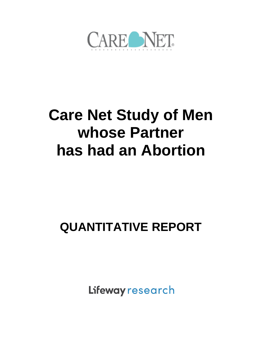

# **Care Net Study of Men whose Partner has had an Abortion**

# **QUANTITATIVE REPORT**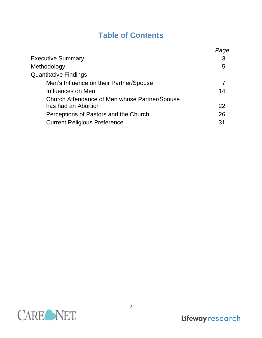# **Table of Contents**

|                                               | Page |
|-----------------------------------------------|------|
| <b>Executive Summary</b>                      | 3    |
| Methodology                                   | 5    |
| <b>Quantitative Findings</b>                  |      |
| Men's Influence on their Partner/Spouse       |      |
| Influences on Men                             | 14   |
| Church Attendance of Men whose Partner/Spouse |      |
| has had an Abortion                           | 22   |
| Perceptions of Pastors and the Church         | 26   |
| <b>Current Religious Preference</b>           | 31   |
|                                               |      |

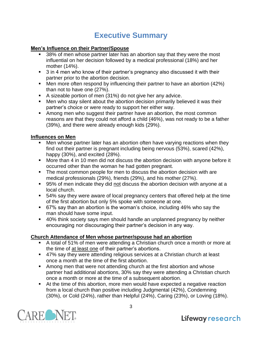# **Executive Summary**

#### **Men's Influence on their Partner/Spouse**

- 38% of men whose partner later has an abortion say that they were the most influential on her decision followed by a medical professional (18%) and her mother (14%).
- 3 in 4 men who know of their partner's pregnancy also discussed it with their partner prior to the abortion decision.
- Men more often respond by influencing their partner to have an abortion (42%) than not to have one (27%).
- A sizeable portion of men (31%) do not give her any advice.
- Men who stay silent about the abortion decision primarily believed it was their partner's choice or were ready to support her either way.
- Among men who suggest their partner have an abortion, the most common reasons are that they could not afford a child (46%), was not ready to be a father (39%), and there were already enough kids (29%).

#### **Influences on Men**

- Men whose partner later has an abortion often have varying reactions when they find out their partner is pregnant including being nervous (53%), scared (42%), happy (30%), and excited (28%).
- More than 4 in 10 men did not discuss the abortion decision with anyone before it occurred other than the woman he had gotten pregnant.
- The most common people for men to discuss the abortion decision with are medical professionals (29%), friends (29%), and his mother (27%).
- 95% of men indicate they did not discuss the abortion decision with anyone at a local church.
- 54% say they were aware of local pregnancy centers that offered help at the time of the first abortion but only 5% spoke with someone at one.
- 67% say than an abortion is the woman's choice, including 46% who say the man should have some input.
- 40% think society says men should handle an unplanned pregnancy by neither encouraging nor discouraging their partner's decision in any way.

### **Church Attendance of Men whose partner/spouse had an abortion**

- A total of 51% of men were attending a Christian church once a month or more at the time of at least one of their partner's abortions.
- 47% say they were attending religious services at a Christian church at least once a month at the time of the first abortion.
- Among men that were not attending church at the first abortion and whose partner had additional abortions, 30% say they were attending a Christian church once a month or more at the time of a subsequent abortion.
- At the time of this abortion, more men would have expected a negative reaction from a local church than positive including Judgmental (42%), Condemning (30%), or Cold (24%), rather than Helpful (24%), Caring (23%), or Loving (18%).



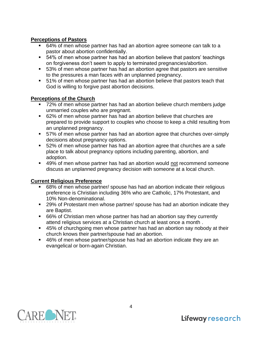#### **Perceptions of Pastors**

- 64% of men whose partner has had an abortion agree someone can talk to a pastor about abortion confidentially.
- 54% of men whose partner has had an abortion believe that pastors' teachings on forgiveness don't seem to apply to terminated pregnancies/abortion.
- 53% of men whose partner has had an abortion agree that pastors are sensitive to the pressures a man faces with an unplanned pregnancy.
- 51% of men whose partner has had an abortion believe that pastors teach that God is willing to forgive past abortion decisions.

#### **Perceptions of the Church**

- 72% of men whose partner has had an abortion believe church members judge unmarried couples who are pregnant.
- 62% of men whose partner has had an abortion believe that churches are prepared to provide support to couples who choose to keep a child resulting from an unplanned pregnancy.
- 57% of men whose partner has had an abortion agree that churches over-simply decisions about pregnancy options.
- 52% of men whose partner has had an abortion agree that churches are a safe place to talk about pregnancy options including parenting, abortion, and adoption.
- 49% of men whose partner has had an abortion would not recommend someone discuss an unplanned pregnancy decision with someone at a local church.

### **Current Religious Preference**

- 68% of men whose partner/ spouse has had an abortion indicate their religious preference is Christian including 36% who are Catholic, 17% Protestant, and 10% Non-denominational.
- 29% of Protestant men whose partner/ spouse has had an abortion indicate they are Baptist.
- 66% of Christian men whose partner has had an abortion say they currently attend religious services at a Christian church at least once a month .
- 45% of churchgoing men whose partner has had an abortion say nobody at their church knows their partner/spouse had an abortion.
- 46% of men whose partner/spouse has had an abortion indicate they are an evangelical or born-again Christian.

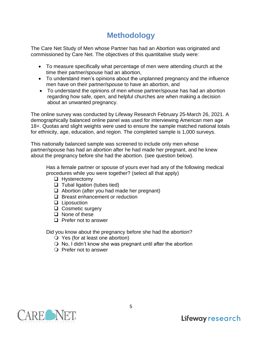# **Methodology**

The Care Net Study of Men whose Partner has had an Abortion was originated and commissioned by Care Net. The objectives of this quantitative study were:

- To measure specifically what percentage of men were attending church at the time their partner/spouse had an abortion,
- To understand men's opinions about the unplanned pregnancy and the influence men have on their partner/spouse to have an abortion, and
- To understand the opinions of men whose partner/spouse has had an abortion regarding how safe, open, and helpful churches are when making a decision about an unwanted pregnancy.

The online survey was conducted by Lifeway Research February 25-March 26, 2021. A demographically balanced online panel was used for interviewing American men age 18+. Quotas and slight weights were used to ensure the sample matched national totals for ethnicity, age, education, and region. The completed sample is 1,000 surveys.

This nationally balanced sample was screened to include only men whose partner/spouse has had an abortion after he had made her pregnant, and he knew about the pregnancy before she had the abortion. (see question below).

Has a female partner or spouse of yours ever had any of the following medical procedures while you were together? (select all that apply)

- ❑ Hysterectomy
- ❑ Tubal ligation (tubes tied)
- ❑ Abortion (after you had made her pregnant)
- ❑ Breast enhancement or reduction
- ❑ Liposuction
- ❑ Cosmetic surgery
- ❑ None of these
- ❑ Prefer not to answer

Did you know about the pregnancy before she had the abortion?

- Yes (for at least one abortion)
- $\bigcirc$  No, I didn't know she was pregnant until after the abortion
- Prefer not to answer

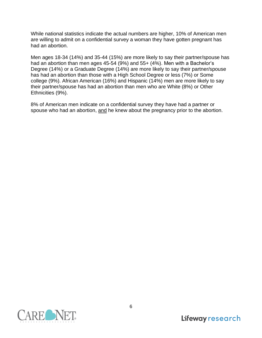While national statistics indicate the actual numbers are higher, 10% of American men are willing to admit on a confidential survey a woman they have gotten pregnant has had an abortion.

Men ages 18-34 (14%) and 35-44 (15%) are more likely to say their partner/spouse has had an abortion than men ages 45-54 (9%) and 55+ (4%). Men with a Bachelor's Degree (14%) or a Graduate Degree (14%) are more likely to say their partner/spouse has had an abortion than those with a High School Degree or less (7%) or Some college (9%). African American (16%) and Hispanic (14%) men are more likely to say their partner/spouse has had an abortion than men who are White (8%) or Other Ethnicities (9%).

8% of American men indicate on a confidential survey they have had a partner or spouse who had an abortion, and he knew about the pregnancy prior to the abortion.

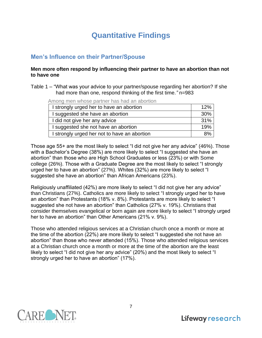# **Quantitative Findings**

## **Men's Influence on their Partner/Spouse**

#### **Men more often respond by influencing their partner to have an abortion than not to have one**

Table 1 – "What was your advice to your partner/spouse regarding her abortion? If she had more than one, respond thinking of the first time.*"* n=983

Among men whose partner has had an abortion

| I strongly urged her to have an abortion     | 12% |
|----------------------------------------------|-----|
| I suggested she have an abortion             | 30% |
| I did not give her any advice                | 31% |
| I suggested she not have an abortion         | 19% |
| I strongly urged her not to have an abortion | ጸ%  |

Those age 55+ are the most likely to select "I did not give her any advice" (46%). Those with a Bachelor's Degree (38%) are more likely to select "I suggested she have an abortion" than those who are High School Graduates or less (23%) or with Some college (26%). Those with a Graduate Degree are the most likely to select "I strongly urged her to have an abortion" (27%). Whites (32%) are more likely to select "I suggested she have an abortion" than African Americans (23%).

Religiously unaffiliated (42%) are more likely to select "I did not give her any advice" than Christians (27%). Catholics are more likely to select "I strongly urged her to have an abortion" than Protestants (18% v. 8%). Protestants are more likely to select "I suggested she not have an abortion" than Catholics (27% v. 19%). Christians that consider themselves evangelical or born again are more likely to select "I strongly urged her to have an abortion" than Other Americans (21% v. 9%).

Those who attended religious services at a Christian church once a month or more at the time of the abortion (22%) are more likely to select "I suggested she not have an abortion" than those who never attended (15%). Those who attended religious services at a Christian church once a month or more at the time of the abortion are the least likely to select "I did not give her any advice" (20%) and the most likely to select "I strongly urged her to have an abortion" (17%).

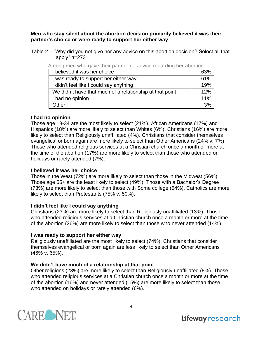**Men who stay silent about the abortion decision primarily believed it was their partner's choice or were ready to support her either way**

Table 2 – "Why did you not give her any advice on this abortion decision? Select all that apply*"* n=273

| ו זווטווע וווטו וואווט עמדט נווטוו פמתווטו ווט מטדוטט וטעמוטוווע ווטו מטטונוטוו |     |
|---------------------------------------------------------------------------------|-----|
| I believed it was her choice                                                    | 63% |
| I was ready to support her either way                                           | 61% |
| I didn't feel like I could say anything                                         | 19% |
| We didn't have that much of a relationship at that point                        | 12% |
| I had no opinion                                                                | 11% |
| Other                                                                           | 3%  |

Among men who gave their partner no advice regarding her abortion

#### **I had no opinion**

Those age 18-34 are the most likely to select (21%). African Americans (17%) and Hispanics (18%) are more likely to select than Whites (6%). Christians (16%) are more likely to select than Religiously unaffiliated (4%). Christians that consider themselves evangelical or born again are more likely to select than Other Americans (24% v. 7%). Those who attended religious services at a Christian church once a month or more at the time of the abortion (17%) are more likely to select than those who attended on holidays or rarely attended (7%).

#### **I believed it was her choice**

Those in the West (72%) are more likely to select than those in the Midwest (56%) Those age 55+ are the least likely to select (49%). Those with a Bachelor's Degree (73%) are more likely to select than those with Some college (54%). Catholics are more likely to select than Protestants (75% v. 50%).

#### **I didn't feel like I could say anything**

Christians (23%) are more likely to select than Religiously unaffiliated (13%). Those who attended religious services at a Christian church once a month or more at the time of the abortion (26%) are more likely to select than those who never attended (14%).

#### **I was ready to support her either way**

Religiously unaffiliated are the most likely to select (74%). Christians that consider themselves evangelical or born again are less likely to select than Other Americans (46% v. 65%).

#### **We didn't have much of a relationship at that point**

Other religions (23%) are more likely to select than Religiously unaffiliated (8%). Those who attended religious services at a Christian church once a month or more at the time of the abortion (16%) and never attended (15%) are more likely to select than those who attended on holidays or rarely attended (6%).

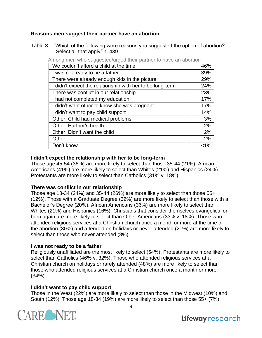#### **Reasons men suggest their partner have an abortion**

Table 3 – "Which of the following were reasons you suggested the option of abortion? Select all that apply*"* n=439

| interig mon mile eaggeetearargea their partner te natio   |         |
|-----------------------------------------------------------|---------|
| We couldn't afford a child at the time                    | 46%     |
| I was not ready to be a father                            | 39%     |
| There were already enough kids in the picture             | 29%     |
| I didn't expect the relationship with her to be long-term | 24%     |
| There was conflict in our relationship                    | 23%     |
| I had not completed my education                          | 17%     |
| I didn't want other to know she was pregnant              | 17%     |
| I didn't want to pay child support                        | 14%     |
| Other: Child had medical problems                         | 3%      |
| Other: Partner's health                                   | 2%      |
| Other: Didn't want the child                              | 2%      |
| Other                                                     | 2%      |
| Don't know                                                | $< 1\%$ |
|                                                           |         |

Among men who suggested/urged their partner to have an abortion

#### **I didn't expect the relationship with her to be long-term**

Those age 45-54 (36%) are more likely to select than those 35-44 (21%). African Americans (41%) are more likely to select than Whites (21%) and Hispanics (24%). Protestants are more likely to select than Catholics (31% v. 18%).

#### **There was conflict in our relationship**

Those age 18-34 (24%) and 35-44 (26%) are more likely to select than those 55+ (12%). Those with a Graduate Degree (32%) are more likely to select than those with a Bachelor's Degree (20%). African Americans (36%) are more likely to select than Whites (21%) and Hispanics (16%). Christians that consider themselves evangelical or born again are more likely to select than Other Americans (33% v. 18%). Those who attended religious services at a Christian church once a month or more at the time of the abortion (30%) and attended on holidays or never attended (21%) are more likely to select than those who never attended (8%).

#### **I was not ready to be a father**

Religiously unaffiliated are the most likely to select (54%). Protestants are more likely to select than Catholics (46% v. 32%). Those who attended religious services at a Christian church on holidays or rarely attended (48%) are more likely to select than those who attended religious services at a Christian church once a month or more (34%).

#### **I didn't want to pay child support**

Those in the West (22%) are more likely to select than those in the Midwest (10%) and South (12%). Those age 18-34 (19%) are more likely to select than those 55+ (7%).



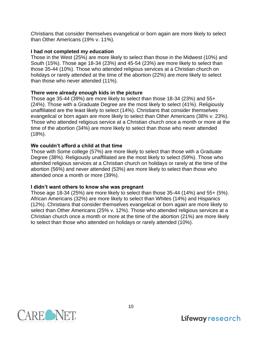Christians that consider themselves evangelical or born again are more likely to select than Other Americans (19% v. 11%).

#### **I had not completed my education**

Those in the West (25%) are more likely to select than those in the Midwest (10%) and South (15%). Those age 18-34 (23%) and 45-54 (23%) are more likely to select than those 35-44 (10%). Those who attended religious services at a Christian church on holidays or rarely attended at the time of the abortion (22%) are more likely to select than those who never attended (11%).

#### **There were already enough kids in the picture**

Those age 35-44 (39%) are more likely to select than those 18-34 (23%) and 55+ (24%). Those with a Graduate Degree are the most likely to select (41%). Religiously unaffiliated are the least likely to select (14%). Christians that consider themselves evangelical or born again are more likely to select than Other Americans (38% v. 23%). Those who attended religious service at a Christian church once a month or more at the time of the abortion (34%) are more likely to select than those who never attended (18%).

#### **We couldn't afford a child at that time**

Those with Some college (57%) are more likely to select than those with a Graduate Degree (38%). Religiously unaffiliated are the most likely to select (59%). Those who attended religious services at a Christian church on holidays or rarely at the time of the abortion (56%) and never attended (53%) are more likely to select than those who attended once a month or more (39%).

#### **I didn't want others to know she was pregnant**

Those age 18-34 (25%) are more likely to select than those 35-44 (14%) and 55+ (5%). African Americans (32%) are more likely to select than Whites (14%) and Hispanics (12%). Christians that consider themselves evangelical or born again are more likely to select than Other Americans (25% v. 12%). Those who attended religious services at a Christian church once a month or more at the time of the abortion (21%) are more likely to select than those who attended on holidays or rarely attended (10%).

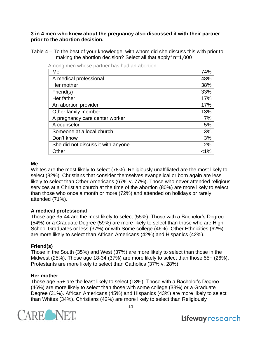**3 in 4 men who knew about the pregnancy also discussed it with their partner prior to the abortion decision.**

Table 4 – To the best of your knowledge, with whom did she discuss this with prior to making the abortion decision? Select all that apply*"* n=1,000

| Me                                 | 74%     |
|------------------------------------|---------|
| A medical professional             | 48%     |
| Her mother                         | 38%     |
| Friend(s)                          | 33%     |
| Her father                         | 17%     |
| An abortion provider               | 17%     |
| Other family member                | 13%     |
| A pregnancy care center worker     | 7%      |
| A counselor                        | 5%      |
| Someone at a local church          | 3%      |
| Don't know                         | 3%      |
| She did not discuss it with anyone | 2%      |
| Other                              | $< 1\%$ |

Among men whose partner has had an abortion

#### **Me**

Whites are the most likely to select (78%). Religiously unaffiliated are the most likely to select (82%). Christians that consider themselves evangelical or born again are less likely to select than Other Americans (67% v. 77%). Those who never attended religious services at a Christian church at the time of the abortion (80%) are more likely to select than those who once a month or more (72%) and attended on holidays or rarely attended (71%).

#### **A medical professional**

Those age 35-44 are the most likely to select (55%). Those with a Bachelor's Degree (54%) or a Graduate Degree (59%) are more likely to select than those who are High School Graduates or less (37%) or with Some college (46%). Other Ethnicities (62%) are more likely to select than African Americans (42%) and Hispanics (42%).

#### **Friend(s)**

Those in the South (35%) and West (37%) are more likely to select than those in the Midwest (25%). Those age 18-34 (37%) are more likely to select than those 55+ (26%). Protestants are more likely to select than Catholics (37% v. 28%).

#### **Her mother**

Those age 55+ are the least likely to select (13%). Those with a Bachelor's Degree (46%) are more likely to select than those with some college (33%) or a Graduate Degree (31%). African Americans (45%) and Hispanics (43%) are more likely to select than Whites (34%). Christians (42%) are more likely to select than Religiously



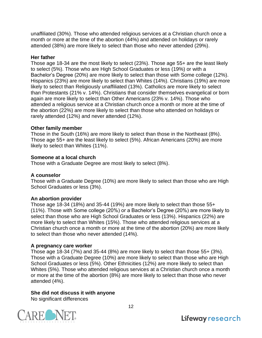unaffiliated (30%). Those who attended religious services at a Christian church once a month or more at the time of the abortion (44%) and attended on holidays or rarely attended (38%) are more likely to select than those who never attended (29%).

#### **Her father**

Those age 18-34 are the most likely to select (23%). Those age 55+ are the least likely to select (5%). Those who are High School Graduates or less (19%) or with a Bachelor's Degree (20%) are more likely to select than those with Some college (12%). Hispanics (23%) are more likely to select than Whites (14%). Christians (19%) are more likely to select than Religiously unaffiliated (13%). Catholics are more likely to select than Protestants (21% v. 14%). Christians that consider themselves evangelical or born again are more likely to select than Other Americans (23% v. 14%). Those who attended a religious service at a Christian church once a month or more at the time of the abortion (22%) are more likely to select than those who attended on holidays or rarely attended (12%) and never attended (12%).

#### **Other family member**

Those in the South (16%) are more likely to select than those in the Northeast (8%). Those age 55+ are the least likely to select (5%). African Americans (20%) are more likely to select than Whites (11%).

#### **Someone at a local church**

Those with a Graduate Degree are most likely to select (8%).

#### **A counselor**

Those with a Graduate Degree (10%) are more likely to select than those who are High School Graduates or less (3%).

#### **An abortion provider**

Those age 18-34 (18%) and 35-44 (19%) are more likely to select than those 55+ (11%). Those with Some college (20%) or a Bachelor's Degree (20%) are more likely to select than those who are High School Graduates or less (13%). Hispanics (22%) are more likely to select than Whites (15%). Those who attended religious services at a Christian church once a month or more at the time of the abortion (20%) are more likely to select than those who never attended (14%).

#### **A pregnancy care worker**

Those age 18-34 (7%) and 35-44 (8%) are more likely to select than those 55+ (3%). Those with a Graduate Degree (10%) are more likely to select than those who are High School Graduates or less (5%). Other Ethnicities (12%) are more likely to select than Whites (5%). Those who attended religious services at a Christian church once a month or more at the time of the abortion (8%) are more likely to select than those who never attended (4%).

#### **She did not discuss it with anyone**

No significant differences

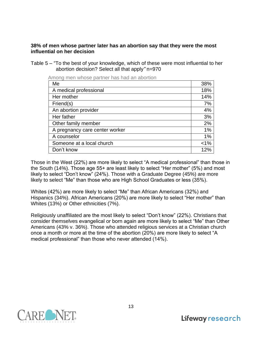#### **38% of men whose partner later has an abortion say that they were the most influential on her decision**

Table 5 – "To the best of your knowledge, which of these were most influential to her abortion decision? Select all that apply*"* n=970

| ווטוועג וויסוו אוויסס פעונוסו ומט מון מטטוויר |         |
|-----------------------------------------------|---------|
| Me                                            | 38%     |
| A medical professional                        | 18%     |
| Her mother                                    | 14%     |
| Friend(s)                                     | 7%      |
| An abortion provider                          | 4%      |
| Her father                                    | 3%      |
| Other family member                           | 2%      |
| A pregnancy care center worker                | 1%      |
| A counselor                                   | 1%      |
| Someone at a local church                     | $< 1\%$ |
| Don't know                                    | 12%     |

Among men whose partner has had an abortion

Those in the West (22%) are more likely to select "A medical professional" than those in the South (14%). Those age 55+ are least likely to select "Her mother" (5%) and most likely to select "Don't know" (24%). Those with a Graduate Degree (45%) are more likely to select "Me" than those who are High School Graduates or less (35%).

Whites (42%) are more likely to select "Me" than African Americans (32%) and Hispanics (34%). African Americans (20%) are more likely to select "Her mother" than Whites (13%) or Other ethnicities (7%).

Religiously unaffiliated are the most likely to select "Don't know" (22%). Christians that consider themselves evangelical or born again are more likely to select "Me" than Other Americans (43% v. 36%). Those who attended religious services at a Christian church once a month or more at the time of the abortion (20%) are more likely to select "A medical professional" than those who never attended (14%).

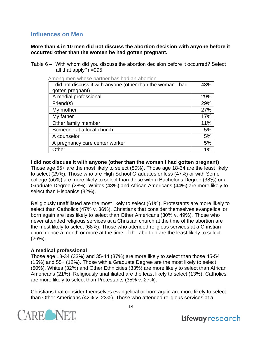## **Influences on Men**

**More than 4 in 10 men did not discuss the abortion decision with anyone before it occurred other than the women he had gotten pregnant.**

Table 6 – "With whom did you discuss the abortion decision before it occurred? Select all that apply*"* n=995

Among men whose partner has had an abortion

| I did not discuss it with anyone (other than the woman I had | 43% |
|--------------------------------------------------------------|-----|
| gotten pregnant)                                             |     |
| A medial professional                                        | 29% |
| Friend(s)                                                    | 29% |
| My mother                                                    | 27% |
| My father                                                    | 17% |
| Other family member                                          | 11% |
| Someone at a local church                                    | 5%  |
| A counselor                                                  | 5%  |
| A pregnancy care center worker                               | 5%  |
| Other                                                        | 1%  |

#### **I did not discuss it with anyone (other than the woman I had gotten pregnant)**

Those age 55+ are the most likely to select (80%). Those age 18-34 are the least likely to select (29%). Those who are High School Graduates or less (47%) or with Some college (55%) are more likely to select than those with a Bachelor's Degree (38%) or a Graduate Degree (28%). Whites (48%) and African Americans (44%) are more likely to select than Hispanics (32%).

Religiously unaffiliated are the most likely to select (61%). Protestants are more likely to select than Catholics (47% v. 36%). Christians that consider themselves evangelical or born again are less likely to select than Other Americans (30% v. 49%). Those who never attended religious services at a Christian church at the time of the abortion are the most likely to select (68%). Those who attended religious services at a Christian church once a month or more at the time of the abortion are the least likely to select (26%).

#### **A medical professional**

Those age 18-34 (33%) and 35-44 (37%) are more likely to select than those 45-54 (15%) and 55+ (12%). Those with a Graduate Degree are the most likely to select (50%). Whites (32%) and Other Ethnicities (33%) are more likely to select than African Americans (21%). Religiously unaffiliated are the least likely to select (13%). Catholics are more likely to select than Protestants (35% v. 27%).

Christians that consider themselves evangelical or born again are more likely to select than Other Americans (42% v. 23%). Those who attended religious services at a

14

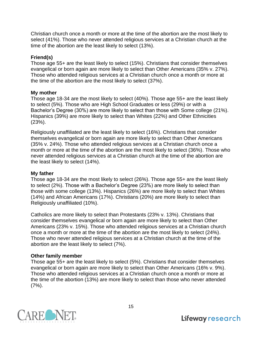Christian church once a month or more at the time of the abortion are the most likely to select (41%). Those who never attended religious services at a Christian church at the time of the abortion are the least likely to select (13%).

#### **Friend(s)**

Those age 55+ are the least likely to select (15%). Christians that consider themselves evangelical or born again are more likely to select than Other Americans (35% v. 27%). Those who attended religious services at a Christian church once a month or more at the time of the abortion are the most likely to select (37%).

#### **My mother**

Those age 18-34 are the most likely to select (40%). Those age 55+ are the least likely to select (5%). Those who are High School Graduates or less (29%) or with a Bachelor's Degree (30%) are more likely to select than those with Some college (21%). Hispanics (39%) are more likely to select than Whites (22%) and Other Ethnicities (23%).

Religiously unaffiliated are the least likely to select (16%). Christians that consider themselves evangelical or born again are more likely to select than Other Americans (35% v. 24%). Those who attended religious services at a Christian church once a month or more at the time of the abortion are the most likely to select (36%). Those who never attended religious services at a Christian church at the time of the abortion are the least likely to select (14%).

#### **My father**

Those age 18-34 are the most likely to select (26%). Those age 55+ are the least likely to select (2%). Those with a Bachelor's Degree (23%) are more likely to select than those with some college (13%). Hispanics (26%) are more likely to select than Whites (14%) and African Americans (17%). Christians (20%) are more likely to select than Religiously unaffiliated (10%).

Catholics are more likely to select than Protestants (23% v. 13%). Christians that consider themselves evangelical or born again are more likely to select than Other Americans (23% v. 15%). Those who attended religious services at a Christian church once a month or more at the time of the abortion are the most likely to select (24%). Those who never attended religious services at a Christian church at the time of the abortion are the least likely to select (7%).

#### **Other family member**

Those age 55+ are the least likely to select (5%). Christians that consider themselves evangelical or born again are more likely to select than Other Americans (16% v. 9%). Those who attended religious services at a Christian church once a month or more at the time of the abortion (13%) are more likely to select than those who never attended (7%).

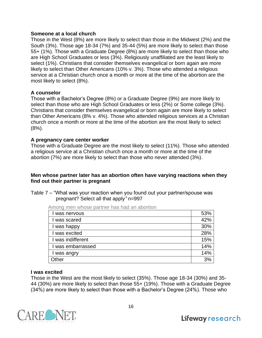#### **Someone at a local church**

Those in the West (8%) are more likely to select than those in the Midwest (2%) and the South (3%). Those age 18-34 (7%) and 35-44 (5%) are more likely to select than those 55+ (1%). Those with a Graduate Degree (8%) are more likely to select than those who are High School Graduates or less (3%). Religiously unaffiliated are the least likely to select (1%). Christians that consider themselves evangelical or born again are more likely to select than Other Americans (10% v. 3%). Those who attended a religious service at a Christian church once a month or more at the time of the abortion are the most likely to select (8%).

#### **A counselor**

Those with a Bachelor's Degree (8%) or a Graduate Degree (9%) are more likely to select than those who are High School Graduates or less (2%) or Some college (3%). Christians that consider themselves evangelical or born again are more likely to select than Other Americans (8% v. 4%). Those who attended religious services at a Christian church once a month or more at the time of the abortion are the most likely to select  $(8%)$ .

#### **A pregnancy care center worker**

Those with a Graduate Degree are the most likely to select (11%). Those who attended a religious service at a Christian church once a month or more at the time of the abortion (7%) are more likely to select than those who never attended (3%).

#### **Men whose partner later has an abortion often have varying reactions when they find out their partner is pregnant**

Table 7 – "What was your reaction when you found out your partner/spouse was pregnant? Select all that apply*"* n=997

| Among men whose partner has had an abortion |
|---------------------------------------------|
|---------------------------------------------|

| l was nervous     | 53% |
|-------------------|-----|
| I was scared      | 42% |
| I was happy       | 30% |
| I was excited     | 28% |
| I was indifferent | 15% |
| I was embarrassed | 14% |
| I was angry       | 14% |
| Other             | 3%  |

#### **I was excited**

Those in the West are the most likely to select (35%). Those age 18-34 (30%) and 35- 44 (30%) are more likely to select than those 55+ (19%). Those with a Graduate Degree (34%) are more likely to select than those with a Bachelor's Degree (24%). Those who

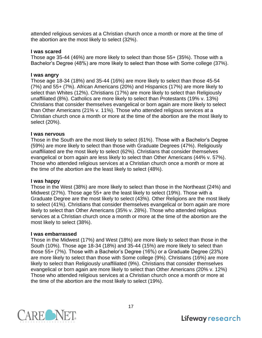attended religious services at a Christian church once a month or more at the time of the abortion are the most likely to select (32%).

#### **I was scared**

Those age 35-44 (46%) are more likely to select than those 55+ (35%). Those with a Bachelor's Degree (48%) are more likely to select than those with Some college (37%).

#### **I was angry**

Those age 18-34 (18%) and 35-44 (16%) are more likely to select than those 45-54 (7%) and 55+ (7%). African Americans (20%) and Hispanics (17%) are more likely to select than Whites (12%). Christians (17%) are more likely to select than Religiously unaffiliated (8%). Catholics are more likely to select than Protestants (19% v. 13%) Christians that consider themselves evangelical or born again are more likely to select than Other Americans (21% v. 11%). Those who attended religious services at a Christian church once a month or more at the time of the abortion are the most likely to select (20%).

#### **I was nervous**

Those in the South are the most likely to select (61%). Those with a Bachelor's Degree (59%) are more likely to select than those with Graduate Degrees (47%). Religiously unaffiliated are the most likely to select (62%). Christians that consider themselves evangelical or born again are less likely to select than Other Americans (44% v. 57%). Those who attended religious services at a Christian church once a month or more at the time of the abortion are the least likely to select (48%).

#### **I was happy**

Those in the West (38%) are more likely to select than those in the Northeast (24%) and Midwest (27%). Those age 55+ are the least likely to select (19%). Those with a Graduate Degree are the most likely to select (43%). Other Religions are the most likely to select (41%). Christians that consider themselves evangelical or born again are more likely to select than Other Americans (35% v. 28%). Those who attended religious services at a Christian church once a month or more at the time of the abortion are the most likely to select (38%).

#### **I was embarrassed**

Those in the Midwest (17%) and West (18%) are more likely to select than those in the South (10%). Those age 18-34 (18%) and 35-44 (15%) are more likely to select than those 55+ (7%). Those with a Bachelor's Degree (16%) or a Graduate Degree (23%) are more likely to select than those with Some college (9%). Christians (16%) are more likely to select than Religiously unaffiliated (9%). Christians that consider themselves evangelical or born again are more likely to select than Other Americans (20% v. 12%) Those who attended religious services at a Christian church once a month or more at the time of the abortion are the most likely to select (19%).

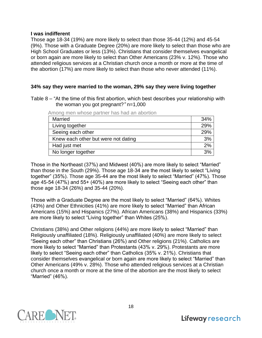#### **I was indifferent**

Those age 18-34 (19%) are more likely to select than those 35-44 (12%) and 45-54 (9%). Those with a Graduate Degree (20%) are more likely to select than those who are High School Graduates or less (13%). Christians that consider themselves evangelical or born again are more likely to select than Other Americans (23% v. 12%). Those who attended religious services at a Christian church once a month or more at the time of the abortion (17%) are more likely to select than those who never attended (11%).

#### **34% say they were married to the woman, 29% say they were living together**

Table 8 – "At the time of this first abortion, which best describes your relationship with the woman you got pregnant?*"* n=1,000

| ו זווטווט וווכוו וווטסט פעונווטו וועס וועט מודעוטונוטו |     |
|--------------------------------------------------------|-----|
| <b>Married</b>                                         | 34% |
| Living together                                        | 29% |
| Seeing each other                                      | 29% |
| Knew each other but were not dating                    | 3%  |
| Had just met                                           | 2%  |
| No longer together                                     | 3%  |
|                                                        |     |

Among men whose partner has had an abortion

Those in the Northeast (37%) and Midwest (40%) are more likely to select "Married" than those in the South (29%). Those age 18-34 are the most likely to select "Living together" (35%). Those age 35-44 are the most likely to select "Married" (47%). Those age 45-54 (47%) and 55+ (40%) are more likely to select "Seeing each other" than those age 18-34 (26%) and 35-44 (20%).

Those with a Graduate Degree are the most likely to select "Married" (64%). Whites (43%) and Other Ethnicities (41%) are more likely to select "Married" than African Americans (15%) and Hispanics (27%). African Americans (38%) and Hispanics (33%) are more likely to select "Living together" than Whites (25%).

Christians (38%) and Other religions (44%) are more likely to select "Married" than Religiously unaffiliated (18%). Religiously unaffiliated (40%) are more likely to select "Seeing each other" than Christians (26%) and Other religions (21%). Catholics are more likely to select "Married" than Protestants (43% v. 29%). Protestants are more likely to select "Seeing each other" than Catholics (35% v. 21%). Christians that consider themselves evangelical or born again are more likely to select "Married" than Other Americans (49% v. 28%). Those who attended religious services at a Christian church once a month or more at the time of the abortion are the most likely to select "Married" (46%).

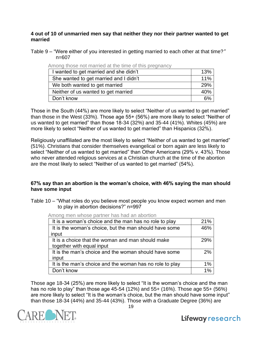#### **4 out of 10 of unmarried men say that neither they nor their partner wanted to get married**

Table 9 – "Were either of you interested in getting married to each other at that time?*"*  n=607

| I wanted to get married and she didn't | 13% |
|----------------------------------------|-----|
| She wanted to get married and I didn't | 11% |
| We both wanted to get married          | 29% |
| Neither of us wanted to get married    | 40% |
| Don't know                             |     |

Among those not married at the time of this pregnancy

Those in the South (44%) are more likely to select "Neither of us wanted to get married" than those in the West (33%). Those age 55+ (56%) are more likely to select "Neither of us wanted to get married" than those 18-34 (32%) and 35-44 (41%). Whites (45%) are more likely to select "Neither of us wanted to get married" than Hispanics (32%).

Religiously unaffiliated are the most likely to select "Neither of us wanted to get married" (51%). Christians that consider themselves evangelical or born again are less likely to select "Neither of us wanted to get married" than Other Americans (29% v. 43%). Those who never attended religious services at a Christian church at the time of the abortion are the most likely to select "Neither of us wanted to get married" (54%).

#### **67% say than an abortion is the woman's choice, with 46% saying the man should have some input**

Table 10 – "What roles do you believe most people you know expect women and men to play in abortion decisions?" n=997

Among men whose partner has had an abortion

| It is a woman's choice and the man has no role to play   | 21% |
|----------------------------------------------------------|-----|
| It is the woman's choice, but the man should have some   | 46% |
| input                                                    |     |
| It is a choice that the woman and man should make        | 29% |
| together with equal input                                |     |
| It is the man's choice and the woman should have some    | 2%  |
| input                                                    |     |
| It is the man's choice and the woman has no role to play | 1%  |
| Don't know                                               | 1%  |

Those age 18-34 (25%) are more likely to select "It is the woman's choice and the man has no role to play" than those age 45-54 (12%) and 55+ (16%). Those age 55+ (56%) are more likely to select "It is the woman's choice, but the man should have some input" than those 18-34 (44%) and 35-44 (43%). Those with a Graduate Degree (36%) are

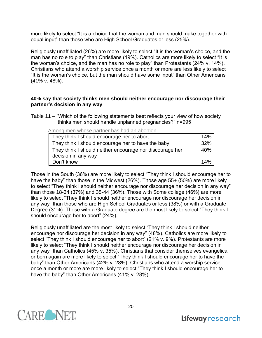more likely to select "It is a choice that the woman and man should make together with equal input" than those who are High School Graduates or less (25%).

Religiously unaffiliated (26%) are more likely to select "It is the woman's choice, and the man has no role to play" than Christians (19%). Catholics are more likely to select "It is the woman's choice, and the man has no role to play" than Protestants (24% v. 14%). Christians who attend a worship service once a month or more are less likely to select "It is the woman's choice, but the man should have some input" than Other Americans (41% v. 48%).

#### **40% say that society thinks men should neither encourage nor discourage their partner's decision in any way**

Table 11 – "Which of the following statements best reflects your view of how society thinks men should handle unplanned pregnancies?" n=995

Among men whose partner has had an abortion

| They think I should encourage her to abort               | 14% |
|----------------------------------------------------------|-----|
| They think I should encourage her to have the baby       | 32% |
| They think I should neither encourage nor discourage her | 40% |
| decision in any way                                      |     |
| Don't know                                               | 14% |

Those in the South (36%) are more likely to select "They think I should encourage her to have the baby" than those in the Midwest (26%). Those age 55+ (50%) are more likely to select "They think I should neither encourage nor discourage her decision in any way" than those 18-34 (37%) and 35-44 (36%). Those with Some college (46%) are more likely to select "They think I should neither encourage nor discourage her decision in any way" than those who are High School Graduates or less (38%) or with a Graduate Degree (31%). Those with a Graduate degree are the most likely to select "They think I should encourage her to abort" (24%).

Religiously unaffiliated are the most likely to select "They think I should neither encourage nor discourage her decision in any way" (48%). Catholics are more likely to select "They think I should encourage her to abort" (21% v. 9%). Protestants are more likely to select "They think I should neither encourage nor discourage her decision in any way" than Catholics (45% v. 35%). Christians that consider themselves evangelical or born again are more likely to select "They think I should encourage her to have the baby" than Other Americans (42% v. 28%). Christians who attend a worship service once a month or more are more likely to select "They think I should encourage her to have the baby" than Other Americans (41% v. 28%).

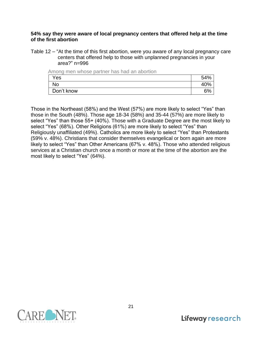#### **54% say they were aware of local pregnancy centers that offered help at the time of the first abortion**

Table 12 – "At the time of this first abortion, were you aware of any local pregnancy care centers that offered help to those with unplanned pregnancies in your area?" n=996

| Among men whose partner has had an abortion |     |
|---------------------------------------------|-----|
| Yes                                         | 54% |
| <b>No</b>                                   | 40% |
| Don't know                                  | 6%  |

Those in the Northeast (58%) and the West (57%) are more likely to select "Yes" than those in the South (48%). Those age 18-34 (58%) and 35-44 (57%) are more likely to select "Yes" than those 55+ (40%). Those with a Graduate Degree are the most likely to select "Yes" (68%). Other Religions (61%) are more likely to select "Yes" than Religiously unaffiliated (49%). Catholics are more likely to select "Yes" than Protestants (59% v. 48%). Christians that consider themselves evangelical or born again are more likely to select "Yes" than Other Americans (67% v. 48%). Those who attended religious services at a Christian church once a month or more at the time of the abortion are the most likely to select "Yes" (64%).

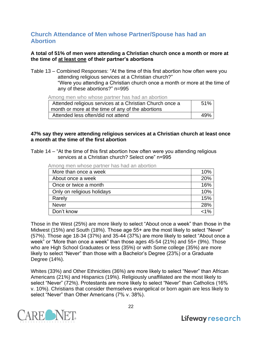## **Church Attendance of Men whose Partner/Spouse has had an Abortion**

#### **A total of 51% of men were attending a Christian church once a month or more at the time of at least one of their partner's abortions**

Table 13 – Combined Responses: "At the time of this first abortion how often were you attending religious services at a Christian church?" "Were you attending a Christian church once a month or more at the time of any of these abortions?" n=995

Among men who whose partner has had an abortion

| Attended religious services at a Christian Church once a | .51% |
|----------------------------------------------------------|------|
| month or more at the time of any of the abortions        |      |
| Attended less often/did not attend                       | 49%  |

#### **47% say they were attending religious services at a Christian church at least once a month at the time of the first abortion**

Table 14 – "At the time of this first abortion how often were you attending religious services at a Christian church? Select one" n=995

|  |  |  | Among men whose partner has had an abortion |
|--|--|--|---------------------------------------------|
|  |  |  |                                             |

| More than once a week      | 10% |
|----------------------------|-----|
| About once a week          | 20% |
| Once or twice a month      | 16% |
| Only on religious holidays | 10% |
| Rarely                     | 15% |
| <b>Never</b>               | 28% |
| Don't know                 | 1%> |

Those in the West (25%) are more likely to select "About once a week" than those in the Midwest (15%) and South (18%). Those age 55+ are the most likely to select "Never" (57%). Those age 18-34 (37%) and 35-44 (37%) are more likely to select "About once a week" or "More than once a week" than those ages 45-54 (21%) and 55+ (9%). Those who are High School Graduates or less (35%) or with Some college (35%) are more likely to select "Never" than those with a Bachelor's Degree (23%) or a Graduate Degree (14%).

Whites (33%) and Other Ethnicities (36%) are more likely to select "Never" than African Americans (21%) and Hispanics (19%). Religiously unaffiliated are the most likely to select "Never" (72%). Protestants are more likely to select "Never" than Catholics (16% v. 10%). Christians that consider themselves evangelical or born again are less likely to select "Never" than Other Americans (7% v. 38%).

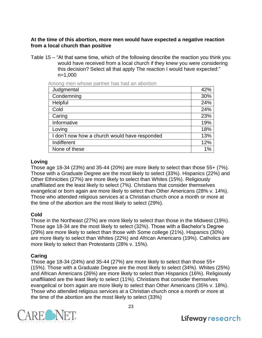#### **At the time of this abortion, more men would have expected a negative reaction from a local church than positive**

Table 15 – "At that same time, which of the following describe the reaction you think you would have received from a local church if they knew you were considering this decision? Select all that apply The reaction I would have expected:" n=1,000

Among men whose partner has had an abortion

| Judgmental                                    | 42% |
|-----------------------------------------------|-----|
| Condemning                                    | 30% |
| Helpful                                       | 24% |
| Cold                                          | 24% |
| Caring                                        | 23% |
| Informative                                   | 19% |
| Loving                                        | 18% |
| I don't now how a church would have responded | 13% |
| Indifferent                                   | 12% |
| None of these                                 | 1%  |

#### **Loving**

Those age 18-34 (23%) and 35-44 (20%) are more likely to select than those 55+ (7%). Those with a Graduate Degree are the most likely to select (33%). Hispanics (22%) and Other Ethnicities (27%) are more likely to select than Whites (15%). Religiously unaffiliated are the least likely to select (7%). Christians that consider themselves evangelical or born again are more likely to select than Other Americans (28% v. 14%). Those who attended religious services at a Christian church once a month or more at the time of the abortion are the most likely to select (29%).

#### **Cold**

Those in the Northeast (27%) are more likely to select than those in the Midwest (19%). Those age 18-34 are the most likely to select (32%). Those with a Bachelor's Degree (29%) are more likely to select than those with Some college (21%). Hispanics (30%) are more likely to select than Whites (22%) and African Americans (19%). Catholics are more likely to select than Protestants (28% v. 15%).

#### **Caring**

Those age 18-34 (24%) and 35-44 (27%) are more likely to select than those 55+ (15%). Those with a Graduate Degree are the most likely to select (34%). Whites (25%) and African Americans (26%) are more likely to select than Hispanics (16%). Religiously unaffiliated are the least likely to select (11%). Christians that consider themselves evangelical or born again are more likely to select than Other Americans (35% v. 18%). Those who attended religious services at a Christian church once a month or more at the time of the abortion are the most likely to select (33%)

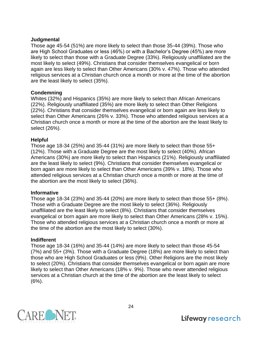#### **Judgmental**

Those age 45-54 (51%) are more likely to select than those 35-44 (39%). Those who are High School Graduates or less (46%) or with a Bachelor's Degree (45%) are more likely to select than those with a Graduate Degree (33%). Religiously unaffiliated are the most likely to select (49%). Christians that consider themselves evangelical or born again are less likely to select than Other Americans (30% v. 47%). Those who attended religious services at a Christian church once a month or more at the time of the abortion are the least likely to select (35%).

#### **Condemning**

Whites (32%) and Hispanics (35%) are more likely to select than African Americans (22%). Religiously unaffiliated (35%) are more likely to select than Other Religions (22%). Christians that consider themselves evangelical or born again are less likely to select than Other Americans (26% v. 33%). Those who attended religious services at a Christian church once a month or more at the time of the abortion are the least likely to select (26%).

#### **Helpful**

Those age 18-34 (25%) and 35-44 (31%) are more likely to select than those 55+ (12%). Those with a Graduate Degree are the most likely to select (40%). African Americans (30%) are more likely to select than Hispanics (21%). Religiously unaffiliated are the least likely to select (9%). Christians that consider themselves evangelical or born again are more likely to select than Other Americans (39% v. 18%). Those who attended religious services at a Christian church once a month or more at the time of the abortion are the most likely to select (36%).

#### **Informative**

Those age 18-34 (23%) and 35-44 (20%) are more likely to select than those 55+ (8%). Those with a Graduate Degree are the most likely to select (36%). Religiously unaffiliated are the least likely to select (8%). Christians that consider themselves evangelical or born again are more likely to select than Other Americans (28% v. 15%). Those who attended religious services at a Christian church once a month or more at the time of the abortion are the most likely to select (30%).

#### **Indifferent**

Those age 18-34 (16%) and 35-44 (14%) are more likely to select than those 45-54 (7%) and 55+ (3%). Those with a Graduate Degree (18%) are more likely to select than those who are High School Graduates or less (9%). Other Religions are the most likely to select (20%). Christians that consider themselves evangelical or born again are more likely to select than Other Americans (18% v. 9%). Those who never attended religious services at a Christian church at the time of the abortion are the least likely to select  $(6%)$ .

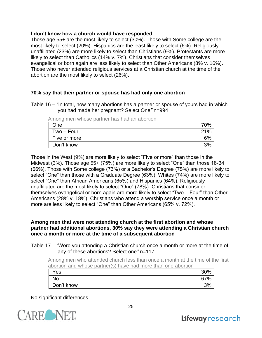#### **I don't know how a church would have responded**

Those age 55+ are the most likely to select (30%). Those with Some college are the most likely to select (20%). Hispanics are the least likely to select (6%). Religiously unaffiliated (23%) are more likely to select than Christians (9%). Protestants are more likely to select than Catholics (14% v. 7%). Christians that consider themselves evangelical or born again are less likely to select than Other Americans (8% v. 16%). Those who never attended religious services at a Christian church at the time of the abortion are the most likely to select (26%).

#### **70% say that their partner or spouse has had only one abortion**

Table 16 – "In total, how many abortions has a partner or spouse of yours had in which you had made her pregnant? Select One*"* n=994

| ווטווער וווסוו 11טווואט ספטוווט ווסווו ווטווור |     |
|------------------------------------------------|-----|
| One                                            | 70% |
| $Two - Four$                                   | 21% |
| Five or more                                   | 6%  |
| Don't know                                     | 3%  |

Among men whose partner has had an abortion

Those in the West (9%) are more likely to select "Five or more" than those in the Midwest (3%). Those age 55+ (75%) are more likely to select "One" than those 18-34 (66%). Those with Some college (73%) or a Bachelor's Degree (75%) are more likely to select "One" than those with a Graduate Degree (63%). Whites (74%) are more likely to select "One" than African Americans (65%) and Hispanics (64%). Religiously unaffiliated are the most likely to select "One" (78%). Christians that consider themselves evangelical or born again are more likely to select "Two – Four" than Other Americans (28% v. 18%). Christians who attend a worship service once a month or more are less likely to select "One" than Other Americans (65% v. 72%).

#### **Among men that were not attending church at the first abortion and whose partner had additional abortions, 30% say they were attending a Christian church once a month or more at the time of a subsequent abortion**

Table 17 – "Were you attending a Christian church once a month or more at the time of any of these abortions? Select one*"* n=117

Among men who attended church less than once a month at the time of the first abortion and whose partner(s) have had more than one abortion

| וושורו של שהורי שהוויש ונושונה שיוויות שהוויטיונית בשונה השונה השיש ששירותי והוויטיונים שהוויטיונים והוויטיוני |     |
|----------------------------------------------------------------------------------------------------------------|-----|
| Yes                                                                                                            | 30% |
| No                                                                                                             | 67% |
| Don't know                                                                                                     | 3%  |

No significant differences

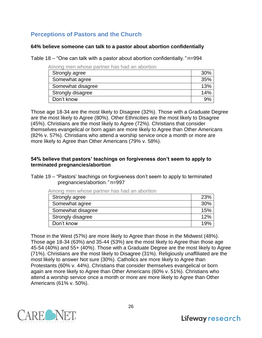# **Perceptions of Pastors and the Church**

#### **64% believe someone can talk to a pastor about abortion confidentially**

Table 18 – "One can talk with a pastor about abortion confidentially.*"* n=994

Among men whose partner has had an abortion

| Strongly agree    | 30% |
|-------------------|-----|
| Somewhat agree    | 35% |
| Somewhat disagree | 13% |
| Strongly disagree | 14% |
| Don't know        | 9%  |

Those age 18-34 are the most likely to Disagree (32%). Those with a Graduate Degree are the most likely to Agree (80%). Other Ethnicities are the most likely to Disagree (45%). Christians are the most likely to Agree (72%). Christians that consider themselves evangelical or born again are more likely to Agree than Other Americans (82% v. 57%). Christians who attend a worship service once a month or more are more likely to Agree than Other Americans (79% v. 58%).

#### **54% believe that pastors' teachings on forgiveness don't seem to apply to terminated pregnancies/abortion**

Table 19 – "Pastors' teachings on forgiveness don't seem to apply to terminated pregnancies/abortion.*"* n=997

| Strongly agree    | <b>23%</b> |
|-------------------|------------|
| Somewhat agree    | 30%        |
| Somewhat disagree | 15%        |
| Strongly disagree | 12%        |
| Don't know        | 19%        |
|                   |            |

Among men whose partner has had an abortion

Those in the West (57%) are more likely to Agree than those in the Midwest (48%). Those age 18-34 (63%) and 35-44 (53%) are the most likely to Agree than those age 45-54 (40%) and 55+ (40%). Those with a Graduate Degree are the most likely to Agree (71%). Christians are the most likely to Disagree (31%). Religiously unaffiliated are the most likely to answer Not sure (30%). Catholics are more likely to Agree than Protestants (60% v. 44%). Christians that consider themselves evangelical or born again are more likely to Agree than Other Americans (60% v. 51%). Christians who attend a worship service once a month or more are more likely to Agree than Other Americans (61% v. 50%).

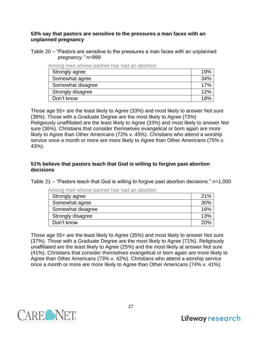#### **53% say that pastors are sensitive to the pressures a man faces with an unplanned pregnancy**

Table 20 – "Pastors are sensitive to the pressures a man faces with an unplanned pregnancy.*"* n=999

| Among men whose partner has had an abortion |
|---------------------------------------------|
|---------------------------------------------|

| Strongly agree    | 19% |
|-------------------|-----|
| Somewhat agree    | 34% |
| Somewhat disagree | 17% |
| Strongly disagree | 12% |
| Don't know        |     |

Those age 55+ are the least likely to Agree (33%) and most likely to answer Not sure (38%). Those with a Graduate Degree are the most likely to Agree (73%) Religiously unaffiliated are the least likely to Agree (33%) and most likely to answer Not sure (36%). Christians that consider themselves evangelical or born again are more likely to Agree than Other Americans (72% v. 45%). Christians who attend a worship service once a month or more are more likely to Agree than Other Americans (75% v. 43%).

#### **51% believe that pastors teach that God is willing to forgive past abortion decisions**

Table 21 – "Pastors teach that God is willing to forgive past abortion decisions." n=1,000

| MINING INCIT WINDOW PUBLIC HIGH HOW ON ONOTHOLD |     |
|-------------------------------------------------|-----|
| Strongly agree                                  | 21% |
| Somewhat agree                                  | 30% |
| Somewhat disagree                               | 16% |
| Strongly disagree                               | 13% |
| Don't know                                      | 20% |

Among men whose partner has had an abortion

Those age 55+ are the least likely to Agree (35%) and most likely to answer Not sure (37%). Those with a Graduate Degree are the most likely to Agree (71%). Religiously unaffiliated are the least likely to Agree (25%) and the most likely at answer Not sure (41%). Christians that consider themselves evangelical or born again are more likely to Agree than Other Americans (73% v. 42%). Christians who attend a worship service once a month or more are more likely to Agree than Other Americans (74% v. 41%).

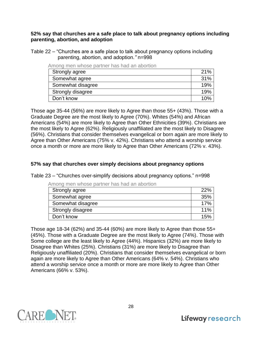#### **52% say that churches are a safe place to talk about pregnancy options including parenting, abortion, and adoption**

Table 22 – "Churches are a safe place to talk about pregnancy options including parenting, abortion, and adoption.*"* n=998

| ATTUNY TITEN WITOSE DALINEL HAS HAU AN ADOLION |     |
|------------------------------------------------|-----|
| Strongly agree                                 | 21% |
| Somewhat agree                                 | 31% |
| Somewhat disagree                              | 19% |
| Strongly disagree                              | 19% |
| Don't know                                     | 10% |

Among men whose partner has had an abortion

Those age 35-44 (56%) are more likely to Agree than those 55+ (43%). Those with a Graduate Degree are the most likely to Agree (70%). Whites (54%) and African Americans (54%) are more likely to Agree than Other Ethnicities (39%). Christians are the most likely to Agree (62%). Religiously unaffiliated are the most likely to Disagree (56%). Christians that consider themselves evangelical or born again are more likely to Agree than Other Americans (75% v. 42%). Christians who attend a worship service once a month or more are more likely to Agree than Other Americans (72% v. 43%).

#### **57% say that churches over simply decisions about pregnancy options**

Table 23 – "Churches over-simplify decisions about pregnancy options." n=998

Among men whose partner has had an abortion

| Strongly agree    | 22% |
|-------------------|-----|
| Somewhat agree    | 35% |
| Somewhat disagree | 17% |
| Strongly disagree | 11% |
| Don't know        | 15% |

Those age 18-34 (62%) and 35-44 (60%) are more likely to Agree than those 55+ (45%). Those with a Graduate Degree are the most likely to Agree (74%). Those with Some college are the least likely to Agree (44%). Hispanics (32%) are more likely to Disagree than Whites (25%). Christians (31%) are more likely to Disagree than Religiously unaffiliated (20%). Christians that consider themselves evangelical or born again are more likely to Agree than Other Americans (64% v. 54%). Christians who attend a worship service once a month or more are more likely to Agree than Other Americans (66% v. 53%).

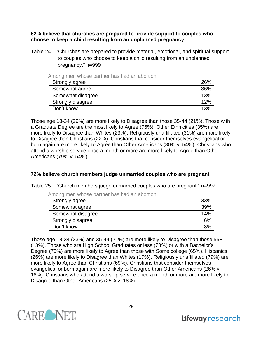**62% believe that churches are prepared to provide support to couples who choose to keep a child resulting from an unplanned pregnancy**

Table 24 – "Churches are prepared to provide material, emotional, and spiritual support to couples who choose to keep a child resulting from an unplanned pregnancy." n=999

Among men whose partner has had an abortion

| Strongly agree    | 26% |
|-------------------|-----|
| Somewhat agree    | 36% |
| Somewhat disagree | 13% |
| Strongly disagree | 12% |
| Don't know        | 13% |

Those age 18-34 (29%) are more likely to Disagree than those 35-44 (21%). Those with a Graduate Degree are the most likely to Agree (76%). Other Ethnicities (35%) are more likely to Disagree than Whites (23%). Religiously unaffiliated (31%) are more likely to Disagree than Christians (22%). Christians that consider themselves evangelical or born again are more likely to Agree than Other Americans (80% v. 54%). Christians who attend a worship service once a month or more are more likely to Agree than Other Americans (79% v. 54%).

#### **72% believe church members judge unmarried couples who are pregnant**

Table 25 – "Church members judge unmarried couples who are pregnant." n=997

| Among men whose partner has had an abortion |     |
|---------------------------------------------|-----|
| Strongly agree                              | 33% |
| Somewhat agree                              | 39% |
| Somewhat disagree                           | 14% |
| Strongly disagree                           | 6%  |
| Don't know                                  | 8%  |

Among men whose partner has had an abortion

Those age 18-34 (23%) and 35-44 (21%) are more likely to Disagree than those 55+ (13%). Those who are High School Graduates or less (73%) or with a Bachelor's Degree (75%) are more likely to Agree than those with Some college (65%). Hispanics (26%) are more likely to Disagree than Whites (17%). Religiously unaffiliated (79%) are more likely to Agree than Christians (69%). Christians that consider themselves evangelical or born again are more likely to Disagree than Other Americans (26% v. 18%). Christians who attend a worship service once a month or more are more likely to Disagree than Other Americans (25% v. 18%).

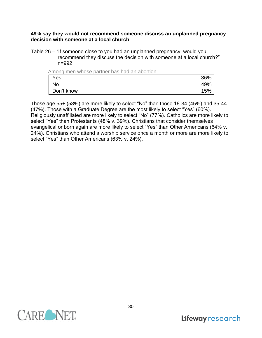#### **49% say they would not recommend someone discuss an unplanned pregnancy decision with someone at a local church**

Table 26 – "If someone close to you had an unplanned pregnancy, would you recommend they discuss the decision with someone at a local church?" n=992

| Among men whose partner has had an abortion |     |
|---------------------------------------------|-----|
| Yes                                         | 36% |
| <b>No</b>                                   | 49% |
| Don't know                                  | 15% |

Those age 55+ (58%) are more likely to select "No" than those 18-34 (45%) and 35-44 (47%). Those with a Graduate Degree are the most likely to select "Yes" (60%). Religiously unaffiliated are more likely to select "No" (77%). Catholics are more likely to select "Yes" than Protestants (48% v. 39%). Christians that consider themselves evangelical or born again are more likely to select "Yes" than Other Americans (64% v. 24%). Christians who attend a worship service once a month or more are more likely to select "Yes" than Other Americans (63% v. 24%).

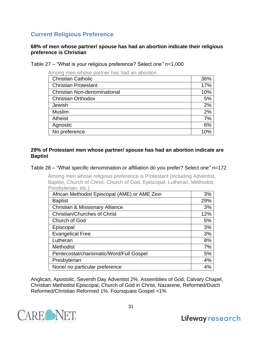## **Current Religious Preference**

#### **68% of men whose partner/ spouse has had an abortion indicate their religious preference is Christian**

Table 27 – "What is your religious preference? Select one*"* n=1,000

| Among men whose partner has had an abortion |     |
|---------------------------------------------|-----|
| <b>Christian Catholic</b>                   | 36% |
| <b>Christian Protestant</b>                 | 17% |
| <b>Christian Non-denominational</b>         | 10% |
| <b>Christian Orthodox</b>                   | 5%  |
| Jewish                                      | 2%  |
| <b>Muslim</b>                               | 2%  |
| <b>Atheist</b>                              | 7%  |
| Agnostic                                    | 6%  |
| No preference                               | 10% |

#### **29% of Protestant men whose partner/ spouse has had an abortion indicate are Baptist**

#### Table 28 – "What specific denomination or affiliation do you prefer? Select one*"* n=172

Among men whose religious preference is Protestant (including Adventist, Baptist, Church of Christ, Church of God, Episcopal, Lutheran, Methodist, Presbyterian, etc.)

| African Methodist Episcopal (AME) or AME Zion | 3%  |
|-----------------------------------------------|-----|
| <b>Baptist</b>                                | 29% |
| <b>Christian &amp; Missionary Alliance</b>    | 3%  |
| <b>Christian/Churches of Christ</b>           | 12% |
| Church of God                                 | 5%  |
| Episcopal                                     | 3%  |
| <b>Evangelical Free</b>                       | 3%  |
| Lutheran                                      | 8%  |
| Methodist                                     | 7%  |
| Pentecostal/charismatic/Word/Full Gospel      | 5%  |
| Presbyterian                                  | 4%  |
| None/ no particular preference                | 4%  |

Anglican, Apostolic, Seventh Day Adventist 2%. Assemblies of God, Calvary Chapel, Christian Methodist Episcopal, Church of God in Christ, Nazarene, Reformed/Dutch Reformed/Christian Reformed 1%. Foursquare Gospel <1%

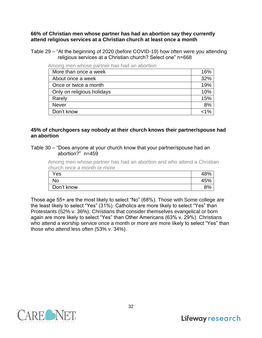**66% of Christian men whose partner has had an abortion say they currently attend religious services at a Christian church at least once a month** 

Table 29 – "At the beginning of 2020 (before COVID-19) how often were you attending religious services at a Christian church? Select one" n=668

| iliuliy ilibii wilust yahiitti ilas ilau ali ayutuuli |     |
|-------------------------------------------------------|-----|
| More than once a week                                 | 16% |
| About once a week                                     | 32% |
| Once or twice a month                                 | 19% |
| Only on religious holidays                            | 10% |
| Rarely                                                | 15% |
| <b>Never</b>                                          | 8%  |
| Don't know                                            | 1%> |

Among men whose partner has had an abortion

#### **45% of churchgoers say nobody at their church knows their partner/spouse had an abortion**

#### Table 30 – "Does anyone at your church know that your partner/spouse had an abortion?" n=459

Among men whose partner has had an abortion and who attend a Christian church once a month or more

| Yes        |     |
|------------|-----|
| No         | 45% |
| Don't know | 9%  |

Those age 55+ are the most likely to select "No" (68%). Those with Some college are the least likely to select "Yes" (31%). Catholics are more likely to select "Yes" than Protestants (52% v. 36%). Christians that consider themselves evangelical or born again are more likely to select "Yes" than Other Americans (63% v. 29%). Christians who attend a worship service once a month or more are more likely to select "Yes" than those who attend less often (53% v. 34%).